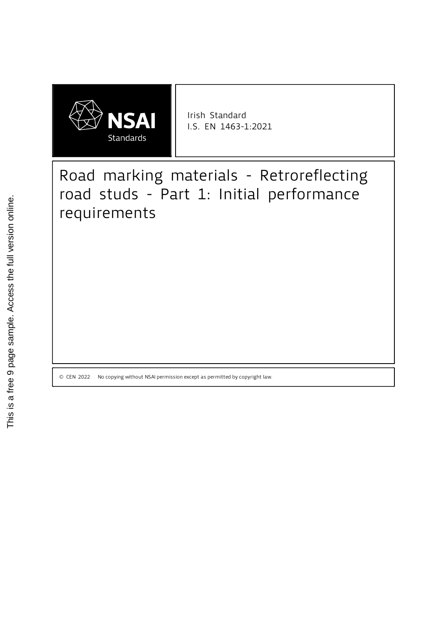

Irish Standard I.S. EN 1463-1:2021

Road marking materials - Retroreflecting road studs - Part 1: Initial performance requirements FICEN 2022 No copying without NSAI permission except as permitted by copyright law.<br>
This is a free 9 page sample.<br>
This is a free 9 page sample.<br>
This is a free 9 page sample.<br>
This is a free 9 page sample.<br>
This is a fac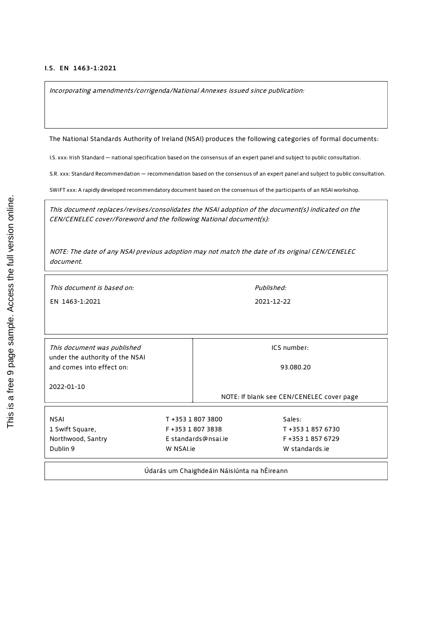Incorporating amendments/corrigenda/National Annexes issued since publication:

The National Standards Authority of Ireland (NSAI) produces the following categories of formal documents:

I.S. xxx: Irish Standard — national specification based on the consensus of an expert panel and subject to public consultation.

S.R. xxx: Standard Recommendation - recommendation based on the consensus of an expert panel and subject to public consultation.

SWiFT xxx: A rapidly developed recommendatory document based on the consensus of the participants of an NSAI workshop.

This document replaces/revises/consolidates the NSAI adoption of the document(s) indicated on the CEN/CENELEC cover/Foreword and the following National document(s):

NOTE: The date of any NSAI previous adoption may not match the date of its original CEN/CENELEC document.

This document is based on: EN 1463-1:2021

Published: 2021-12-22

| This document was published                                  |                     | ICS number:                                 |                                           |
|--------------------------------------------------------------|---------------------|---------------------------------------------|-------------------------------------------|
| under the authority of the NSAI<br>and comes into effect on: |                     |                                             | 93.080.20                                 |
| 2022-01-10                                                   |                     |                                             |                                           |
|                                                              |                     |                                             | NOTE: If blank see CEN/CENELEC cover page |
|                                                              |                     |                                             |                                           |
| NSAI                                                         | T+353 1 807 3800    |                                             | Sales:                                    |
| 1 Swift Square,                                              | F+353 1 807 3838    |                                             | T+353 1857 6730                           |
| Northwood, Santry                                            | E standards@nsai.ie |                                             | F +353 1 857 6729                         |
| Dublin 9                                                     | W NSALie            |                                             | W standards.ie                            |
|                                                              |                     |                                             |                                           |
|                                                              |                     | Údarás um Chaighdeáin Náisiúnta na hÉireann |                                           |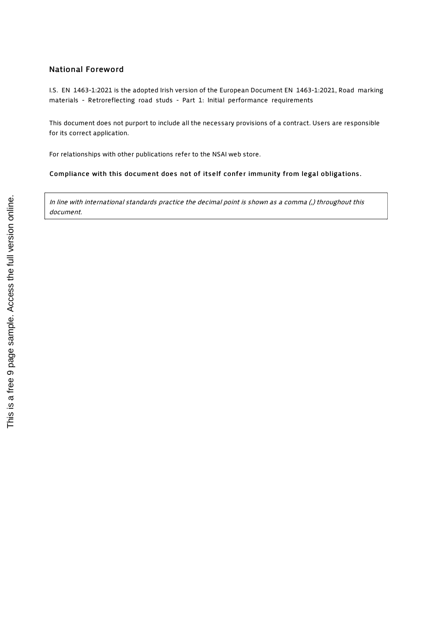### National Foreword

I.S. EN 1463-1:2021 is the adopted Irish version of the European Document EN 1463-1:2021, Road marking materials - Retroreflecting road studs - Part 1: Initial performance requirements

This document does not purport to include all the necessary provisions of a contract. Users are responsible for its correct application.

For relationships with other publications refer to the NSAI web store.

Compliance with this document does not of itself confer immunity from legal obligations.

In line with international standards practice the decimal point is shown as a comma (,) throughout this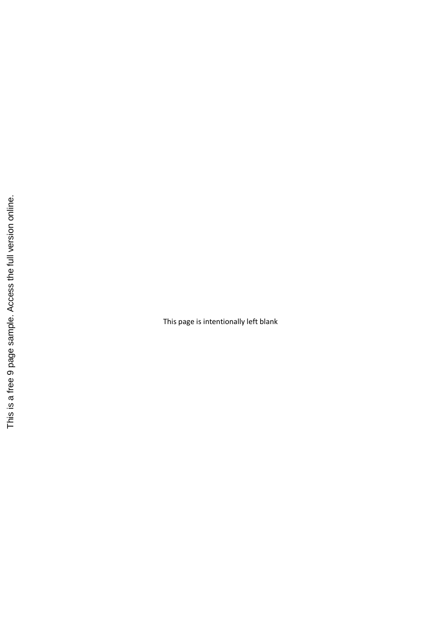This page is intentionally left blank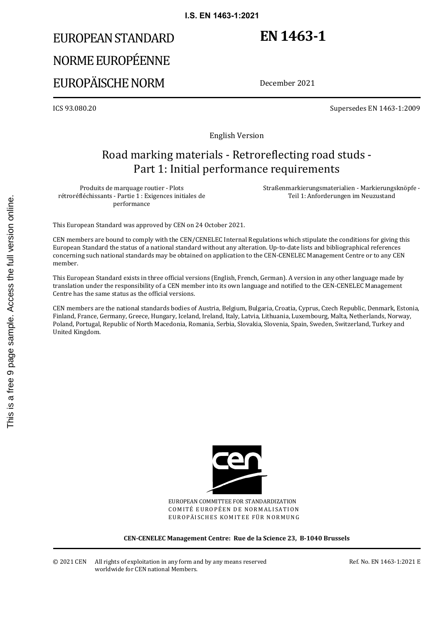#### **I.S. EN 1463-1:2021**

# EUROPEAN STANDARD NORME EUROPÉENNE EUROPÄISCHE NORM

## **EN 1463-1**

December 2021

ICS 93.080.20 Supersedes EN 1463-1:2009

English Version

## Road marking materials - Retroreflecting road studs - Part 1: Initial performance requirements

Produits de marquage routier - Plots rétroréfléchissants - Partie 1 : Exigences initiales de performance

Straßenmarkierungsmaterialien - Markierungsknöpfe - Teil 1: Anforderungen im Neuzustand

This European Standard was approved by CEN on 24 October 2021.

CEN members are bound to comply with the CEN/CENELEC Internal Regulations which stipulate the conditions for giving this European Standard the status of a national standard without any alteration. Up-to-date lists and bibliographical references concerning such national standards may be obtained on application to the CEN-CENELEC Management Centre or to any CEN member.

This European Standard exists in three official versions (English, French, German). A version in any other language made by translation under the responsibility of a CEN member into its own language and notified to the CEN-CENELEC Management Centre has the same status as the official versions.

CEN members are the national standards bodies of Austria, Belgium, Bulgaria, Croatia, Cyprus, Czech Republic, Denmark, Estonia, Finland, France, Germany, Greece, Hungary, Iceland, Ireland, Italy, Latvia, Lithuania, Luxembourg, Malta, Netherlands, Norway, Poland, Portugal, Republic of North Macedonia, Romania, Serbia, Slovakia, Slovenia, Spain, Sweden, Switzerland, Turkey and United Kingdom.



EUROPEAN COMMITTEE FOR STANDARDIZATION COMITÉ EUROPÉEN DE NORMALISATION EUROPÄISCHES KOMITEE FÜR NORMUNG

**CEN-CENELEC Management Centre: Rue de la Science 23, B-1040 Brussels**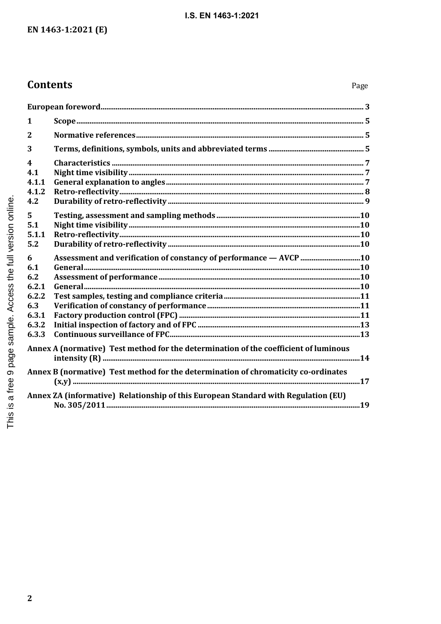## **Contents**

| 1                                                       |                                                                                      |  |
|---------------------------------------------------------|--------------------------------------------------------------------------------------|--|
| $\mathbf{2}$                                            |                                                                                      |  |
| 3                                                       |                                                                                      |  |
| $\overline{\mathbf{4}}$<br>4.1<br>4.1.1<br>4.1.2<br>4.2 |                                                                                      |  |
| 5<br>5.1<br>5.1.1<br>5.2                                |                                                                                      |  |
| 6<br>6.1<br>6.2                                         | Assessment and verification of constancy of performance - AVCP 10                    |  |
| 6.2.1<br>6.2.2<br>6.3<br>6.3.1<br>6.3.2                 |                                                                                      |  |
| 6.3.3                                                   | Annex A (normative) Test method for the determination of the coefficient of luminous |  |
|                                                         | Annex B (normative) Test method for the determination of chromaticity co-ordinates   |  |
|                                                         | Annex ZA (informative) Relationship of this European Standard with Regulation (EU)   |  |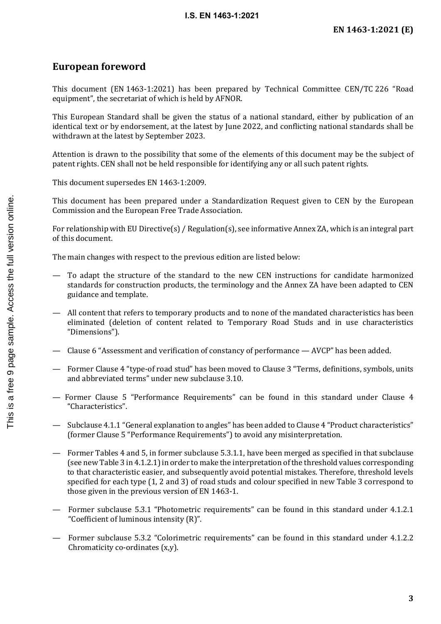## <span id="page-6-0"></span>**European foreword**

This document (EN 1463-1:2021) has been prepared by Technical Committee CEN/TC 226 "Road equipment", the secretariat of which is held by AFNOR.

This European Standard shall be given the status of a national standard, either by publication of an identical text or by endorsement, at the latest by June 2022, and conflicting national standards shall be withdrawn at the latest by September 2023.

Attention is drawn to the possibility that some of the elements of this document may be the subject of patent rights. CEN shall not be held responsible for identifying any or all such patent rights.

This document supersedes EN 1463-1:2009.

This document has been prepared under a Standardization Request given to CEN by the European Commission and the European Free Trade Association.

For relationship with EU Directive(s) / Regulation(s), see informative Annex ZA, which is an integral part of this document.

The main changes with respect to the previous edition are listed below:

- To adapt the structure of the standard to the new CEN instructions for candidate harmonized standards for construction products, the terminology and the Annex ZA have been adapted to CEN guidance and template.
- All content that refers to temporary products and to none of the mandated characteristics has been eliminated (deletion of content related to Temporary Road Studs and in use characteristics "Dimensions").
- Clause 6 "Assessment and verification of constancy of performance AVCP" has been added.
- Former Clause 4 "type-of road stud" has been moved to Clause 3 "Terms, definitions, symbols, units and abbreviated terms" under new subclause 3.10.
- Former Clause 5 "Performance Requirements" can be found in this standard under Clause 4 "Characteristics".
- Subclause 4.1.1 "General explanation to angles" has been added to Clause 4 "Product characteristics" (former Clause 5 "Performance Requirements") to avoid any misinterpretation.
- Former Tables 4 and 5, in former subclause 5.3.1.1, have been merged as specified in that subclause (see new Table 3 in 4.1.2.1) in order to make the interpretation of the threshold values corresponding to that characteristic easier, and subsequently avoid potential mistakes. Therefore, threshold levels specified for each type (1, 2 and 3) of road studs and colour specified in new Table 3 correspond to those given in the previous version of EN 1463-1.
- Former subclause 5.3.1 "Photometric requirements" can be found in this standard under 4.1.2.1 "Coefficient of luminous intensity (R)".
- Former subclause 5.3.2 "Colorimetric requirements" can be found in this standard under 4.1.2.2 Chromaticity co-ordinates (x,y).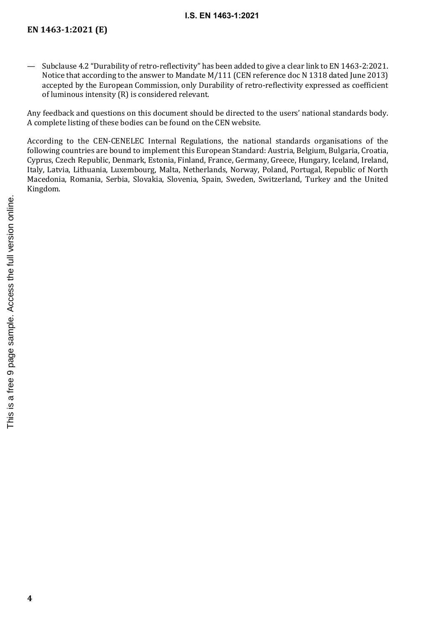— Subclause 4.2 "Durability of retro-reflectivity" has been added to give a clear link to EN 1463-2:2021. Notice that according to the answer to Mandate M/111 (CEN reference doc N 1318 dated June 2013) accepted by the European Commission, only Durability of retro-reflectivity expressed as coefficient of luminous intensity (R) is considered relevant.

Any feedback and questions on this document should be directed to the users' national standards body. A complete listing of these bodies can be found on the CEN website.

According to the CEN-CENELEC Internal Regulations, the national standards organisations of the following countries are bound to implement this European Standard: Austria, Belgium, Bulgaria, Croatia, Cyprus, Czech Republic, Denmark, Estonia, Finland, France, Germany, Greece, Hungary, Iceland, Ireland, Italy, Latvia, Lithuania, Luxembourg, Malta, Netherlands, Norway, Poland, Portugal, Republic of North Macedonia, Romania, Serbia, Slovakia, Slovenia, Spain, Sweden, Switzerland, Turkey and the United Kingdom.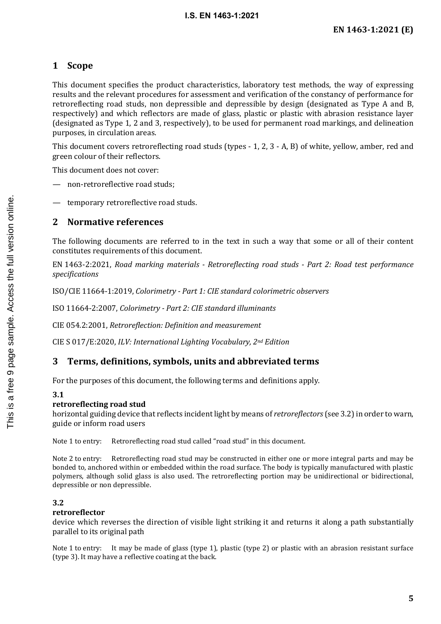## <span id="page-8-0"></span>**1 Scope**

This document specifies the product characteristics, laboratory test methods, the way of expressing results and the relevant procedures for assessment and verification of the constancy of performance for retroreflecting road studs, non depressible and depressible by design (designated as Type A and B, respectively) and which reflectors are made of glass, plastic or plastic with abrasion resistance layer (designated as Type 1, 2 and 3, respectively), to be used for permanent road markings, and delineation purposes, in circulation areas.

This document covers retroreflecting road studs (types - 1, 2, 3 - A, B) of white, yellow, amber, red and green colour of their reflectors.

This document does not cover:

- *—* non-retroreflective road studs;
- temporary retroreflective road studs.

## <span id="page-8-1"></span>**2 Normative references**

The following documents are referred to in the text in such a way that some or all of their content constitutes requirements of this document.

EN 1463-2:2021, *Road marking materials - Retroreflecting road studs - Part 2: Road test performance specifications*

ISO/CIE 11664-1:2019, *Colorimetry - Part 1: CIE standard colorimetric observers*

ISO 11664-2:2007, *Colorimetry - Part 2: CIE standard illuminants*

CIE 054.2:2001, *Retroreflection: Definition and measurement*

CIE S 017/E:2020, *ILV: International Lighting Vocabulary, 2nd Edition*

## <span id="page-8-2"></span>**3 Terms, definitions, symbols, units and abbreviated terms**

For the purposes of this document, the following terms and definitions apply.

## **3.1**

#### **retroreflecting road stud**

horizontal guiding device that reflects incident light by means of *retroreflectors*(see 3.2) in order to warn, guide or inform road users

Note 1 to entry: Retroreflecting road stud called "road stud" in this document.

Note 2 to entry: Retroreflecting road stud may be constructed in either one or more integral parts and may be bonded to, anchored within or embedded within the road surface. The body is typically manufactured with plastic polymers, although solid glass is also used. The retroreflecting portion may be unidirectional or bidirectional, depressible or non depressible.

## **3.2**

#### **retroreflector**

device which reverses the direction of visible light striking it and returns it along a path substantially parallel to its original path

Note 1 to entry: It may be made of glass (type 1), plastic (type 2) or plastic with an abrasion resistant surface (type 3). It may have a reflective coating at the back.